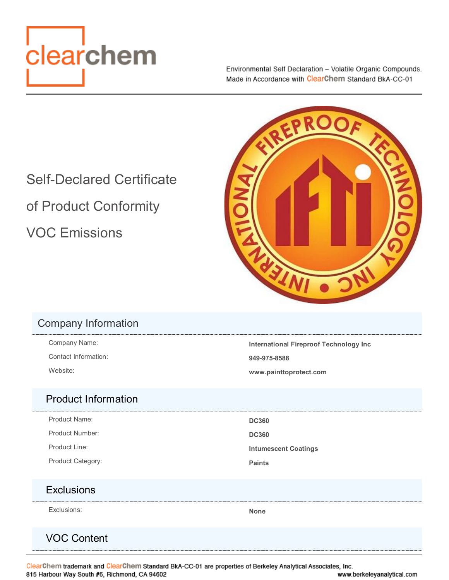<span id="page-0-0"></span>

Environmental Self Declaration - Volatile Organic Compounds. Made in Accordance with ClearChem Standard BkA-CC-01

Self-Declared Certificate of Product Conformity VOC Emissions

#### Company Information

Contact Information: **949-975-8588**

Company Name: **International Fireproof Technology Inc** Website: **www.painttoprotect.com**

#### Product Information

Product Name: **DC360** Product Number: **DC360** 

Product Line: **Intumescent Coatings** 

Product Category: **Product Category: Paints** 

#### **Exclusions**

Exclusions: **None**

### VOC Content

ClearChem trademark and ClearChem Standard BkA-CC-01 are properties of Berkeley Analytical Associates, Inc. 815 Harbour Way South #6, Richmond, CA 94602 www.berkeleyanalytical.com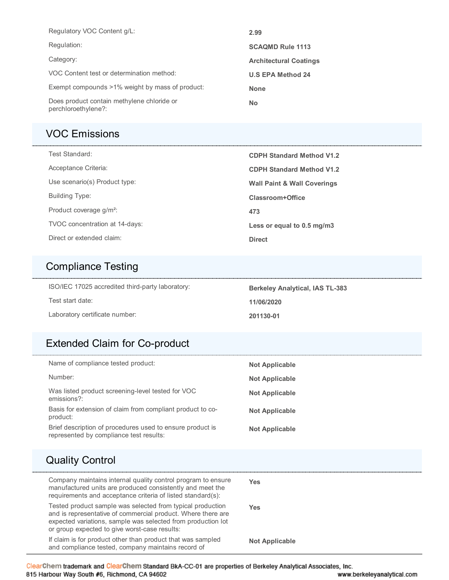| Regulatory VOC Content g/L:                                       | 2.99                          |
|-------------------------------------------------------------------|-------------------------------|
| Regulation:                                                       | <b>SCAQMD Rule 1113</b>       |
| Category:                                                         | <b>Architectural Coatings</b> |
| VOC Content test or determination method:                         | <b>U.S EPA Method 24</b>      |
| Exempt compounds >1% weight by mass of product:                   | <b>None</b>                   |
| Does product contain methylene chloride or<br>perchloroethylene?: | <b>No</b>                     |

### [VOC Emissions](#page-0-0)

| Test Standard:                      | <b>CDPH Standard Method V1.2</b>       |
|-------------------------------------|----------------------------------------|
| Acceptance Criteria:                | <b>CDPH Standard Method V1.2</b>       |
| Use scenario(s) Product type:       | <b>Wall Paint &amp; Wall Coverings</b> |
| Building Type:                      | Classroom+Office                       |
| Product coverage g/m <sup>2</sup> : | 473                                    |
| TVOC concentration at 14-days:      | Less or equal to 0.5 mg/m3             |
| Direct or extended claim:           | <b>Direct</b>                          |

# [Compliance Testing](#page-0-0)

| ISO/IEC 17025 accredited third-party laboratory: | <b>Berkeley Analytical, IAS TL-383</b> |
|--------------------------------------------------|----------------------------------------|
| Test start date:                                 | 11/06/2020                             |
| Laboratory certificate number:                   | 201130-01                              |

# [Extended Claim for Co-product](#page-0-0)

| Name of compliance tested product:                                                                                                                                                                                                          | <b>Not Applicable</b> |
|---------------------------------------------------------------------------------------------------------------------------------------------------------------------------------------------------------------------------------------------|-----------------------|
| Number:                                                                                                                                                                                                                                     | <b>Not Applicable</b> |
| Was listed product screening-level tested for VOC<br>emissions?:                                                                                                                                                                            | <b>Not Applicable</b> |
| Basis for extension of claim from compliant product to co-<br>product:                                                                                                                                                                      | Not Applicable        |
| Brief description of procedures used to ensure product is<br>represented by compliance test results:                                                                                                                                        | Not Applicable        |
| <b>Quality Control</b>                                                                                                                                                                                                                      |                       |
|                                                                                                                                                                                                                                             |                       |
| Company maintains internal quality control program to ensure<br>manufactured units are produced consistently and meet the<br>requirements and acceptance criteria of listed standard(s):                                                    | <b>Yes</b>            |
| Tested product sample was selected from typical production<br>and is representative of commercial product. Where there are<br>expected variations, sample was selected from production lot<br>or group expected to give worst-case results: | <b>Yes</b>            |

ClearChem trademark and ClearChem Standard BkA-CC-01 are properties of Berkeley Analytical Associates, Inc. 815 Harbour Way South #6, Richmond, CA 94602 www.berkeleyanalytical.com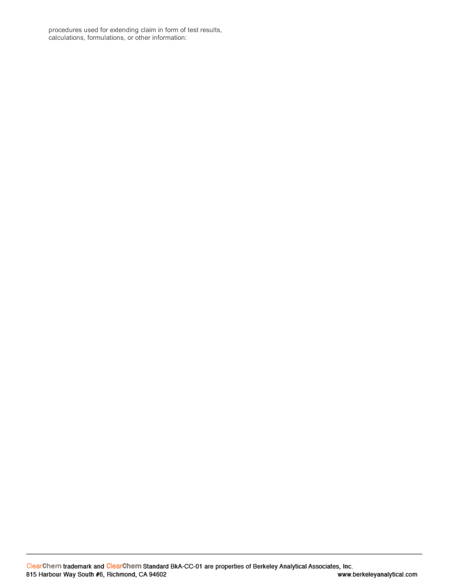procedures used for extending claim in form of test results, calculations, formulations, or other information: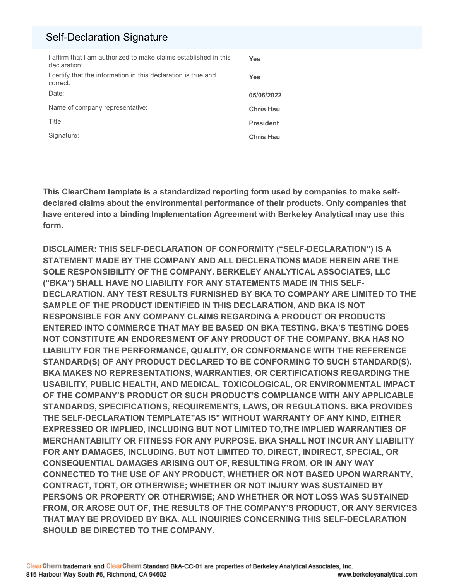### [Self-Declaration Signature](#page-0-0)

| I affirm that I am authorized to make claims established in this<br>declaration: | Yes              |
|----------------------------------------------------------------------------------|------------------|
| I certify that the information in this declaration is true and<br>correct:       | <b>Yes</b>       |
| Date:                                                                            | 05/06/2022       |
| Name of company representative:                                                  | <b>Chris Hsu</b> |
| Title:                                                                           | <b>President</b> |
| Signature:                                                                       | <b>Chris Hsu</b> |

**This ClearChem template is a standardized reporting form used by companies to make selfdeclared claims about the environmental performance of their products. Only companies that have entered into a binding Implementation Agreement with Berkeley Analytical may use this form.** 

**DISCLAIMER: THIS SELF-DECLARATION OF CONFORMITY ("SELF-DECLARATION") IS A STATEMENT MADE BY THE COMPANY AND ALL DECLERATIONS MADE HEREIN ARE THE SOLE RESPONSIBILITY OF THE COMPANY. BERKELEY ANALYTICAL ASSOCIATES, LLC ("BKA") SHALL HAVE NO LIABILITY FOR ANY STATEMENTS MADE IN THIS SELF-DECLARATION. ANY TEST RESULTS FURNISHED BY BKA TO COMPANY ARE LIMITED TO THE SAMPLE OF THE PRODUCT IDENTIFIED IN THIS DECLARATION, AND BKA IS NOT RESPONSIBLE FOR ANY COMPANY CLAIMS REGARDING A PRODUCT OR PRODUCTS ENTERED INTO COMMERCE THAT MAY BE BASED ON BKA TESTING. BKA'S TESTING DOES NOT CONSTITUTE AN ENDORESMENT OF ANY PRODUCT OF THE COMPANY. BKA HAS NO LIABILITY FOR THE PERFORMANCE, QUALITY, OR CONFORMANCE WITH THE REFERENCE STANDARD(S) OF ANY PRODUCT DECLARED TO BE CONFORMING TO SUCH STANDARD(S). BKA MAKES NO REPRESENTATIONS, WARRANTIES, OR CERTIFICATIONS REGARDING THE USABILITY, PUBLIC HEALTH, AND MEDICAL, TOXICOLOGICAL, OR ENVIRONMENTAL IMPACT OF THE COMPANY'S PRODUCT OR SUCH PRODUCT'S COMPLIANCE WITH ANY APPLICABLE STANDARDS, SPECIFICATIONS, REQUIREMENTS, LAWS, OR REGULATIONS. BKA PROVIDES THE SELF-DECLARATION TEMPLATE"AS IS" WITHOUT WARRANTY OF ANY KIND, EITHER EXPRESSED OR IMPLIED, INCLUDING BUT NOT LIMITED TO,THE IMPLIED WARRANTIES OF MERCHANTABILITY OR FITNESS FOR ANY PURPOSE. BKA SHALL NOT INCUR ANY LIABILITY FOR ANY DAMAGES, INCLUDING, BUT NOT LIMITED TO, DIRECT, INDIRECT, SPECIAL, OR CONSEQUENTIAL DAMAGES ARISING OUT OF, RESULTING FROM, OR IN ANY WAY CONNECTED TO THE USE OF ANY PRODUCT, WHETHER OR NOT BASED UPON WARRANTY, CONTRACT, TORT, OR OTHERWISE; WHETHER OR NOT INJURY WAS SUSTAINED BY PERSONS OR PROPERTY OR OTHERWISE; AND WHETHER OR NOT LOSS WAS SUSTAINED FROM, OR AROSE OUT OF, THE RESULTS OF THE COMPANY'S PRODUCT, OR ANY SERVICES THAT MAY BE PROVIDED BY BKA. ALL INQUIRIES CONCERNING THIS SELF-DECLARATION SHOULD BE DIRECTED TO THE COMPANY.**